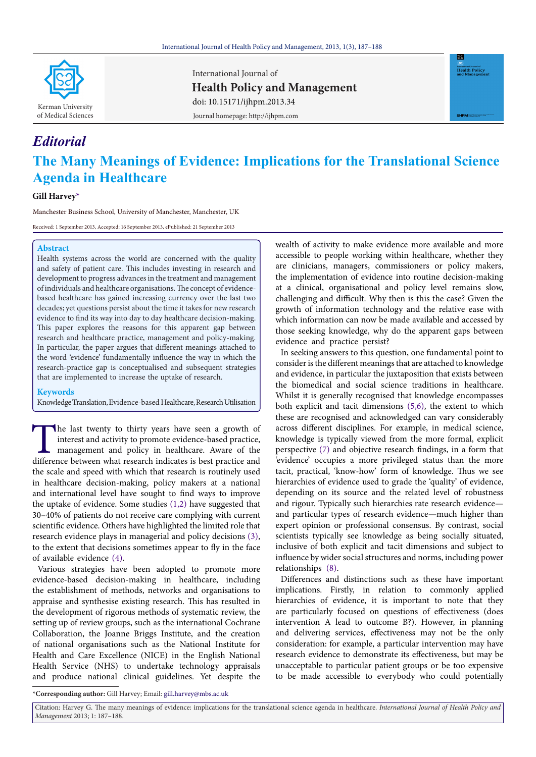

International Journal of **Health Policy and Management** Journal homepage: http://ijhpm.com doi: 10.15171/ijhpm.2013.34



# **The Many Meanings of Evidence: Implications for the Translational Science Agenda in Healthcare**

## **Gill Harve[y\\*](#page-0-0)**

*Editorial*

Manchester Business School, University of Manchester, Manchester, UK

Received: 1 September 2013, Accepted: 16 September 2013, ePublished: 21 September 2013

### **Abstract**

Health systems across the world are concerned with the quality and safety of patient care. This includes investing in research and development to progress advances in the treatment and management of individuals and healthcare organisations. The concept of evidencebased healthcare has gained increasing currency over the last two decades; yet questions persist about the time it takes for new research evidence to find its way into day to day healthcare decision-making. This paper explores the reasons for this apparent gap between research and healthcare practice, management and policy-making. In particular, the paper argues that different meanings attached to the word 'evidence' fundamentally influence the way in which the research-practice gap is conceptualised and subsequent strategies that are implemented to increase the uptake of research.

## **Keywords**

Knowledge Translation, Evidence-based Healthcare, Research Utilisation

The last twenty to thirty years have seen a growth of interest and activity to promote evidence-based practice, management and policy in healthcare. Aware of the difference between what research indicates is best practice interest and activity to promote evidence-based practice, management and policy in healthcare. Aware of the difference between what research indicates is best practice and the scale and speed with which that research is routinely used in healthcare decision-making, policy makers at a national and international level have sought to find ways to improve the uptake of evidence. Some studies [\(1](#page-1-0)[,2](#page-1-1)) have suggested that 30–40% of patients do not receive care complying with current scientific evidence. Others have highlighted the limited role that research evidence plays in managerial and policy decisions ([3](#page-1-2)), to the extent that decisions sometimes appear to fly in the face of available evidence ([4\)](#page-1-3).

Various strategies have been adopted to promote more evidence-based decision-making in healthcare, including the establishment of methods, networks and organisations to appraise and synthesise existing research. This has resulted in the development of rigorous methods of systematic review, the setting up of review groups, such as the international Cochrane Collaboration, the Joanne Briggs Institute, and the creation of national organisations such as the National Institute for Health and Care Excellence (NICE) in the English National Health Service (NHS) to undertake technology appraisals and produce national clinical guidelines. Yet despite the

wealth of activity to make evidence more available and more accessible to people working within healthcare, whether they are clinicians, managers, commissioners or policy makers, the implementation of evidence into routine decision-making at a clinical, organisational and policy level remains slow, challenging and difficult. Why then is this the case? Given the growth of information technology and the relative ease with which information can now be made available and accessed by those seeking knowledge, why do the apparent gaps between evidence and practice persist?

In seeking answers to this question, one fundamental point to consider is the different meanings that are attached to knowledge and evidence, in particular the juxtaposition that exists between the biomedical and social science traditions in healthcare. Whilst it is generally recognised that knowledge encompasses both explicit and tacit dimensions ([5,](#page-1-4)[6\)](#page-1-5), the extent to which these are recognised and acknowledged can vary considerably across different disciplines. For example, in medical science, knowledge is typically viewed from the more formal, explicit perspective (7) and objective research findings, in a form that 'evidence' occupies a more privileged status than the more tacit, practical, 'know-how' form of knowledge. Thus we see hierarchies of evidence used to grade the 'quality' of evidence, depending on its source and the related level of robustness and rigour. Typically such hierarchies rate research evidence and particular types of research evidence—much higher than expert opinion or professional consensus. By contrast, social scientists typically see knowledge as being socially situated, inclusive of both explicit and tacit dimensions and subject to influence by wider social structures and norms, including power relationships ([8\)](#page-1-6).

Differences and distinctions such as these have important implications. Firstly, in relation to commonly applied hierarchies of evidence, it is important to note that they are particularly focused on questions of effectiveness (does intervention A lead to outcome B?). However, in planning and delivering services, effectiveness may not be the only consideration: for example, a particular intervention may have research evidence to demonstrate its effectiveness, but may be unacceptable to particular patient groups or be too expensive to be made accessible to everybody who could potentially

<span id="page-0-0"></span>**\*Corresponding author:** Gill Harvey; Email: gill.harvey@mbs.ac.uk

Citation: Harvey G. The many meanings of evidence: implications for the translational science agenda in healthcare. *International Journal of Health Policy and Management* 2013; 1: 187–188.